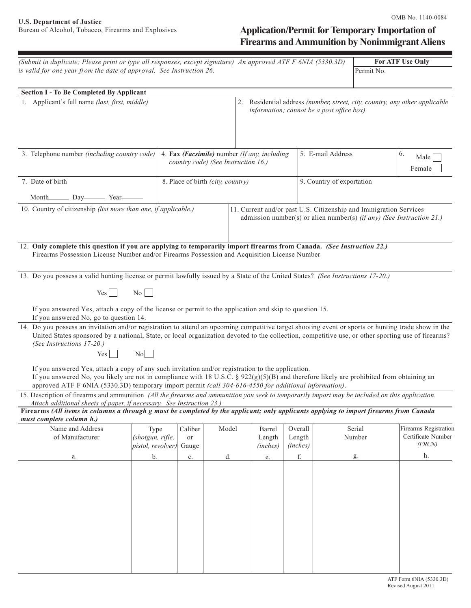# Application/Permit for Temporary Importation of **Firearms and Ammunition by Nonimmigrant Aliens**

| (Submit in duplicate; Please print or type all responses, except signature) An approved ATF F 6NIA (5330.3D)                                                                                                                                                                                                                                           |                                                  |                                                                                     |       |  |                                                                                                                                            |          |                                           |            | For ATF Use Only                                                            |
|--------------------------------------------------------------------------------------------------------------------------------------------------------------------------------------------------------------------------------------------------------------------------------------------------------------------------------------------------------|--------------------------------------------------|-------------------------------------------------------------------------------------|-------|--|--------------------------------------------------------------------------------------------------------------------------------------------|----------|-------------------------------------------|------------|-----------------------------------------------------------------------------|
| is valid for one year from the date of approval. See Instruction 26.                                                                                                                                                                                                                                                                                   |                                                  |                                                                                     |       |  |                                                                                                                                            |          | Permit No.                                |            |                                                                             |
|                                                                                                                                                                                                                                                                                                                                                        |                                                  |                                                                                     |       |  |                                                                                                                                            |          |                                           |            |                                                                             |
| <b>Section I - To Be Completed By Applicant</b>                                                                                                                                                                                                                                                                                                        |                                                  |                                                                                     |       |  |                                                                                                                                            |          |                                           |            |                                                                             |
| 1. Applicant's full name (last, first, middle)                                                                                                                                                                                                                                                                                                         |                                                  |                                                                                     |       |  |                                                                                                                                            |          | information; cannot be a post office box) |            | 2. Residential address (number, street, city, country, any other applicable |
| 3. Telephone number (including country code)                                                                                                                                                                                                                                                                                                           |                                                  |                                                                                     |       |  |                                                                                                                                            |          | 5. E-mail Address                         | 6.         |                                                                             |
|                                                                                                                                                                                                                                                                                                                                                        |                                                  | 4. Fax (Facsimile) number (If any, including<br>country code) (See Instruction 16.) |       |  |                                                                                                                                            |          |                                           |            | Male<br>Female                                                              |
| 7. Date of birth                                                                                                                                                                                                                                                                                                                                       |                                                  | 8. Place of birth (city, country)                                                   |       |  |                                                                                                                                            |          | 9. Country of exportation                 |            |                                                                             |
| Month Day Year                                                                                                                                                                                                                                                                                                                                         |                                                  |                                                                                     |       |  |                                                                                                                                            |          |                                           |            |                                                                             |
| 10. Country of citizenship (list more than one, if applicable.)                                                                                                                                                                                                                                                                                        |                                                  |                                                                                     |       |  | 11. Current and/or past U.S. Citizenship and Immigration Services<br>admission number(s) or alien number(s) (if any) (See Instruction 21.) |          |                                           |            |                                                                             |
| 12. Only complete this question if you are applying to temporarily import firearms from Canada. (See Instruction 22.)<br>Firearms Possession License Number and/or Firearms Possession and Acquisition License Number                                                                                                                                  |                                                  |                                                                                     |       |  |                                                                                                                                            |          |                                           |            |                                                                             |
| 13. Do you possess a valid hunting license or permit lawfully issued by a State of the United States? (See Instructions 17-20.)                                                                                                                                                                                                                        |                                                  |                                                                                     |       |  |                                                                                                                                            |          |                                           |            |                                                                             |
| Yes                                                                                                                                                                                                                                                                                                                                                    | $\begin{array}{c c} N_O & \\ \hline \end{array}$ |                                                                                     |       |  |                                                                                                                                            |          |                                           |            |                                                                             |
|                                                                                                                                                                                                                                                                                                                                                        |                                                  |                                                                                     |       |  |                                                                                                                                            |          |                                           |            |                                                                             |
| If you answered Yes, attach a copy of the license or permit to the application and skip to question 15.<br>If you answered No, go to question 14.                                                                                                                                                                                                      |                                                  |                                                                                     |       |  |                                                                                                                                            |          |                                           |            |                                                                             |
| 14. Do you possess an invitation and/or registration to attend an upcoming competitive target shooting event or sports or hunting trade show in the<br>United States sponsored by a national, State, or local organization devoted to the collection, competitive use, or other sporting use of firearms?<br>(See Instructions 17-20.)                 |                                                  |                                                                                     |       |  |                                                                                                                                            |          |                                           |            |                                                                             |
| $Yes$                                                                                                                                                                                                                                                                                                                                                  | No                                               |                                                                                     |       |  |                                                                                                                                            |          |                                           |            |                                                                             |
| If you answered Yes, attach a copy of any such invitation and/or registration to the application.<br>If you answered No, you likely are not in compliance with 18 U.S.C. § 922(g)(5)(B) and therefore likely are prohibited from obtaining an<br>approved ATF F 6NIA (5330.3D) temporary import permit (call 304-616-4550 for additional information). |                                                  |                                                                                     |       |  |                                                                                                                                            |          |                                           |            |                                                                             |
| 15. Description of firearms and ammunition (All the firearms and ammunition you seek to temporarily import may be included on this application.                                                                                                                                                                                                        |                                                  |                                                                                     |       |  |                                                                                                                                            |          |                                           |            |                                                                             |
| Attach additional sheets of paper, if necessary. See Instruction 23.)                                                                                                                                                                                                                                                                                  |                                                  |                                                                                     |       |  |                                                                                                                                            |          |                                           |            |                                                                             |
| Firearms (All items in columns a through g must be completed by the applicant; only applicants applying to import firearms from Canada<br>must complete column h.)                                                                                                                                                                                     |                                                  |                                                                                     |       |  |                                                                                                                                            |          |                                           |            |                                                                             |
| Name and Address                                                                                                                                                                                                                                                                                                                                       | Type                                             | Caliber                                                                             | Model |  | Barrel                                                                                                                                     | Overall  |                                           | Serial     | Firearms Registration                                                       |
| of Manufacturer                                                                                                                                                                                                                                                                                                                                        | (shotgun, rifle,                                 | or                                                                                  |       |  | Length                                                                                                                                     | Length   |                                           | Number     | Certificate Number                                                          |
|                                                                                                                                                                                                                                                                                                                                                        | pistol, revolver)                                | Gauge                                                                               |       |  | (inches)                                                                                                                                   | (inches) |                                           |            | (FRCN)                                                                      |
| а.                                                                                                                                                                                                                                                                                                                                                     | b.                                               | c.                                                                                  | d.    |  | e.                                                                                                                                         | $\rm f.$ |                                           | ${\bf g}.$ | h.                                                                          |
|                                                                                                                                                                                                                                                                                                                                                        |                                                  |                                                                                     |       |  |                                                                                                                                            |          |                                           |            |                                                                             |
|                                                                                                                                                                                                                                                                                                                                                        |                                                  |                                                                                     |       |  |                                                                                                                                            |          |                                           |            |                                                                             |
|                                                                                                                                                                                                                                                                                                                                                        |                                                  |                                                                                     |       |  |                                                                                                                                            |          |                                           |            |                                                                             |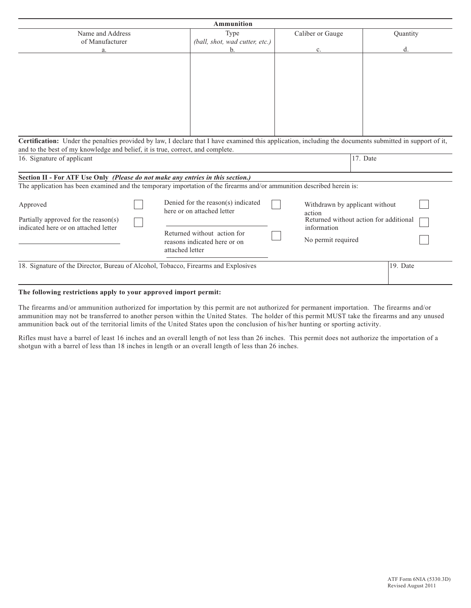| <b>Ammunition</b>                                                                                                                                                                                                                                                        |                 |                                                                                                                                 |                       |                                                                                                |  |  |  |  |  |
|--------------------------------------------------------------------------------------------------------------------------------------------------------------------------------------------------------------------------------------------------------------------------|-----------------|---------------------------------------------------------------------------------------------------------------------------------|-----------------------|------------------------------------------------------------------------------------------------|--|--|--|--|--|
| Name and Address                                                                                                                                                                                                                                                         |                 | Type                                                                                                                            | Caliber or Gauge      | Quantity                                                                                       |  |  |  |  |  |
| of Manufacturer                                                                                                                                                                                                                                                          |                 | (ball, shot, wad cutter, etc.)                                                                                                  |                       |                                                                                                |  |  |  |  |  |
| a                                                                                                                                                                                                                                                                        |                 | b.                                                                                                                              | c.                    | d.                                                                                             |  |  |  |  |  |
| Certification: Under the penalties provided by law, I declare that I have examined this application, including the documents submitted in support of it,<br>and to the best of my knowledge and belief, it is true, correct, and complete.<br>16. Signature of applicant |                 |                                                                                                                                 |                       | 17. Date                                                                                       |  |  |  |  |  |
|                                                                                                                                                                                                                                                                          |                 |                                                                                                                                 |                       |                                                                                                |  |  |  |  |  |
| Section II - For ATF Use Only (Please do not make any entries in this section.)<br>The application has been examined and the temporary importation of the firearms and/or ammunition described herein is:                                                                |                 |                                                                                                                                 |                       |                                                                                                |  |  |  |  |  |
| Approved<br>Partially approved for the reason(s)<br>indicated here or on attached letter                                                                                                                                                                                 | attached letter | Denied for the reason(s) indicated<br>here or on attached letter<br>Returned without action for<br>reasons indicated here or on | action<br>information | Withdrawn by applicant without<br>Returned without action for additional<br>No permit required |  |  |  |  |  |
| 18. Signature of the Director, Bureau of Alcohol, Tobacco, Firearms and Explosives                                                                                                                                                                                       |                 |                                                                                                                                 |                       | 19. Date                                                                                       |  |  |  |  |  |

# **The following restrictions apply to your approved import permit:**

The firearms and/or ammunition authorized for importation by this permit are not authorized for permanent importation. The firearms and/or ammunition may not be transferred to another person within the United States. The holder of this permit MUST take the firearms and any unused ammunition back out of the territorial limits of the United States upon the conclusion of his/her hunting or sporting activity.

Rifles must have a barrel of least 16 inches and an overall length of not less than 26 inches. This permit does not authorize the importation of a shotgun with a barrel of less than 18 inches in length or an overall length of less than 26 inches.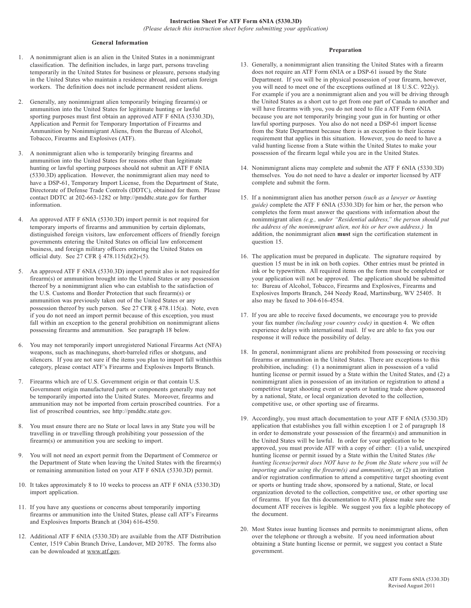## **General Information**

- 1. A nonimmigrant alien is an alien in the United States in a nonimmigrant classification. The definition includes, in large part, persons traveling temporarily in the United States for business or pleasure, persons studying in the United States who maintain a residence abroad, and certain foreign workers. The definition does not include permanent resident aliens.
- 2. Generally, any nonimmigrant alien temporarily bringing firearm(s) or ammunition into the United States for legitimate hunting or lawful sporting purposes must first obtain an approved ATF F 6NIA (5330.3D), Application and Permit for Temporary Importation of Firearms and Ammunition by Nonimmigrant Aliens, from the Bureau of Alcohol, Tobacco, Firearms and Explosives (ATF).
- 3. A nonimmigrant alien who is temporarily bringing firearms and ammunition into the United States for reasons other than legitimate hunting or lawful sporting purposes should not submit an ATF F 6NIA (5330.3D) application. However, the nonimmigrant alien may need to have a DSP-61, Temporary Import License, from the Department of State, Directorate of Defense Trade Controls (DDTC), obtained for them. Please contact DDTC at 202-663-1282 or http://pmddtc.state.gov for further information.
- 4. An approved ATF F 6NIA (5330.3D) import permit is not required for temporary imports of firearms and ammunition by certain diplomats, distinguished foreign visitors, law enforcement officers of friendly foreign governments entering the United States on official law enforcement business, and foreign military officers entering the United States on official duty. See 27 CFR § 478.115(d)(2)-(5).
- 5. An approved ATF F 6NIA (5330.3D) import permit also is not required for firearm(s) or ammunition brought into the United States or any possession thereof by a nonimmigrant alien who can establish to the satisfaction of the U.S. Customs and Border Protection that such firearm(s) or ammunition was previously taken out of the United States or any possession thereof by such person. See 27 CFR § 478.115(a). Note, even if you do not need an import permit because of this exception, you must fall within an exception to the general prohibition on nonimmigrant aliens possessing firearms and ammunition. See paragraph 18 below.
- 6. You may not temporarily import unregistered National Firearms Act (NFA) weapons, such as machineguns, short-barreled rifles or shotguns, and silencers. If you are not sure if the items you plan to import fall withinthis category, please contact ATF's Firearms and Explosives Imports Branch.
- 7. Firearms which are of U.S. Government origin or that contain U.S. Government origin manufactured parts or components generally may not be temporarily imported into the United States. Moreover, firearms and ammunition may not be imported from certain proscribed countries. For a list of proscribed countries, see http://pmddtc.state.gov.
- 8. You must ensure there are no State or local laws in any State you will be travelling in or travelling through prohibiting your possession of the firearm(s) or ammunition you are seeking to import.
- 9. You will not need an export permit from the Department of Commerce or the Department of State when leaving the United States with the firearm(s) or remaining ammunition listed on your ATF F 6NIA (5330.3D) permit.
- 10. It takes approximately 8 to 10 weeks to process an ATF F 6NIA (5330.3D) import application.
- 11. If you have any questions or concerns about temporarily importing firearms or ammunition into the United States, please call ATF's Firearms and Explosives Imports Branch at (304) 616-4550.
- 12. Additional ATF F 6NIA (5330.3D) are available from the ATF Distribution Center, 1519 Cabin Branch Drive, Landover, MD 20785. The forms also can be downloaded at www.atf.gov.

## **Preparation**

- 13. Generally, a nonimmigrant alien transiting the United States with a firearm does not require an ATF Form 6NIA or a DSP-61 issued by the State Department. If you will be in physical possession of your firearm, however, you will need to meet one of the exceptions outlined at 18 U.S.C. 922(y). For example if you are a nonimmigrant alien and you will be driving through the United States as a short cut to get from one part of Canada to another and will have firearms with you, you do not need to file a ATF Form 6NIA because you are not temporarily bringing your gun in for hunting or other lawful sporting purposes. You also do not need a DSP-61 import license from the State Department because there is an exception to their license requirement that applies in this situation. However, you do need to have a valid hunting license from a State within the United States to make your possession of the firearm legal while you are in the United States.
- 14. Nonimmigrant aliens may complete and submit the ATF F 6NIA (5330.3D) themselves. You do not need to have a dealer or importer licensed by ATF complete and submit the form.
- 15. If a nonimmigrant alien has another person *(such as a lawyer or hunting guide)* complete the ATF F 6NIA (5330.3D) for him or her, the person who completes the form must answer the questions with information about the nonimmigrant alien *(e.g., under "Residential address," the person should put the address of the nonimmigrant alien, not his or her own address.)* In addition, the nonimmigrant alien **must** sign the certification statement in question 15.
- 16. The application must be prepared in duplicate. The signature required by question 15 must be in ink on both copies. Other entries must be printed in ink or be typewritten. All required items on the form must be completed or your application will not be approved. The application should be submitted to: Bureau of Alcohol, Tobacco, Firearms and Explosives, Firearms and Explosives Imports Branch, 244 Needy Road, Martinsburg, WV 25405. It also may be faxed to 304-616-4554.
- 17. If you are able to receive faxed documents, we encourage you to provide your fax number *(including your country code)* in question 4. We often experience delays with international mail. If we are able to fax you our response it will reduce the possibility of delay.
- 18. In general, nonimmigrant aliens are prohibited from possessing or receiving firearms or ammunition in the United States. There are exceptions to this prohibition, including: (1) a nonimmigrant alien in possession of a valid hunting license or permit issued by a State within the United States, and (2) a nonimmigrant alien in possession of an invitation or registration to attend a competitive target shooting event or sports or hunting trade show sponsored by a national, State, or local organization devoted to the collection, competitive use, or other sporting use of firearms.
- 19. Accordingly, you must attach documentation to your ATF F 6NIA (5330.3D) application that establishes you fall within exception 1 or 2 of paragraph 18 in order to demonstrate your possession of the firearm(s) and ammunition in the United States will be lawful. In order for your application to be approved, you must provide ATF with a copy of either: (1) a valid, unexpired hunting license or permit issued by a State within the United States *(the hunting license/permit does NOT have to be from the State where you will be importing and/or using the firearm(s) and ammunition)*, or (2) an invitation and/or registration confirmation to attend a competitive target shooting event or sports or hunting trade show, sponsored by a national, State, or local organization devoted to the collection, competitive use, or other sporting use of firearms. If you fax this documentation to ATF, please make sure the document ATF receives is legible. We suggest you fax a legible photocopy of the document.
- 20. Most States issue hunting licenses and permits to nonimmigrant aliens, often over the telephone or through a website. If you need information about obtaining a State hunting license or permit, we suggest you contact a State government.